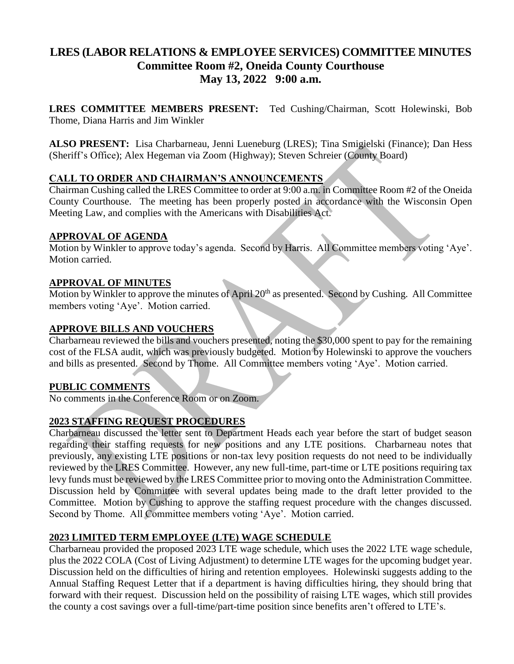# **LRES (LABOR RELATIONS & EMPLOYEE SERVICES) COMMITTEE MINUTES Committee Room #2, Oneida County Courthouse May 13, 2022 9:00 a.m.**

**LRES COMMITTEE MEMBERS PRESENT:** Ted Cushing/Chairman, Scott Holewinski, Bob Thome, Diana Harris and Jim Winkler

**ALSO PRESENT:** Lisa Charbarneau, Jenni Lueneburg (LRES); Tina Smigielski (Finance); Dan Hess (Sheriff's Office); Alex Hegeman via Zoom (Highway); Steven Schreier (County Board)

## **CALL TO ORDER AND CHAIRMAN'S ANNOUNCEMENTS**

Chairman Cushing called the LRES Committee to order at 9:00 a.m. in Committee Room #2 of the Oneida County Courthouse. The meeting has been properly posted in accordance with the Wisconsin Open Meeting Law, and complies with the Americans with Disabilities Act.

## **APPROVAL OF AGENDA**

Motion by Winkler to approve today's agenda. Second by Harris. All Committee members voting 'Aye'. Motion carried.

## **APPROVAL OF MINUTES**

Motion by Winkler to approve the minutes of April 20<sup>th</sup> as presented. Second by Cushing. All Committee members voting 'Aye'. Motion carried.

## **APPROVE BILLS AND VOUCHERS**

Charbarneau reviewed the bills and vouchers presented, noting the \$30,000 spent to pay for the remaining cost of the FLSA audit, which was previously budgeted. Motion by Holewinski to approve the vouchers and bills as presented. Second by Thome. All Committee members voting 'Aye'. Motion carried.

## **PUBLIC COMMENTS**

No comments in the Conference Room or on Zoom.

## **2023 STAFFING REQUEST PROCEDURES**

Charbarneau discussed the letter sent to Department Heads each year before the start of budget season regarding their staffing requests for new positions and any LTE positions. Charbarneau notes that previously, any existing LTE positions or non-tax levy position requests do not need to be individually reviewed by the LRES Committee. However, any new full-time, part-time or LTE positions requiring tax levy funds must be reviewed by the LRES Committee prior to moving onto the Administration Committee. Discussion held by Committee with several updates being made to the draft letter provided to the Committee. Motion by Cushing to approve the staffing request procedure with the changes discussed. Second by Thome. All Committee members voting 'Aye'. Motion carried.

## **2023 LIMITED TERM EMPLOYEE (LTE) WAGE SCHEDULE**

Charbarneau provided the proposed 2023 LTE wage schedule, which uses the 2022 LTE wage schedule, plus the 2022 COLA (Cost of Living Adjustment) to determine LTE wages for the upcoming budget year. Discussion held on the difficulties of hiring and retention employees. Holewinski suggests adding to the Annual Staffing Request Letter that if a department is having difficulties hiring, they should bring that forward with their request. Discussion held on the possibility of raising LTE wages, which still provides the county a cost savings over a full-time/part-time position since benefits aren't offered to LTE's.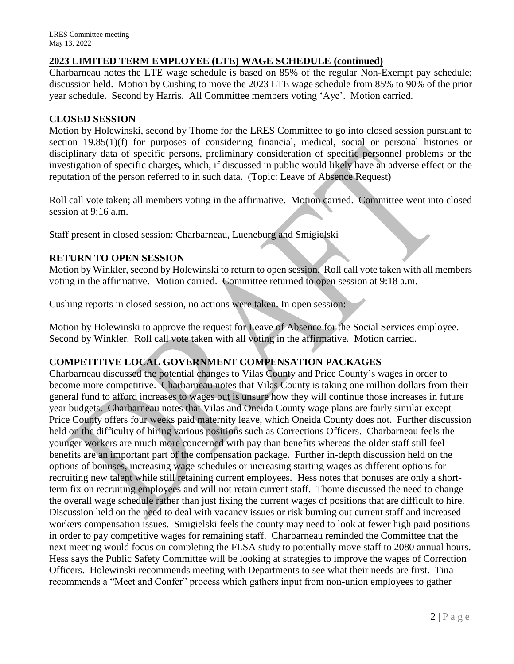## **2023 LIMITED TERM EMPLOYEE (LTE) WAGE SCHEDULE (continued)**

Charbarneau notes the LTE wage schedule is based on 85% of the regular Non-Exempt pay schedule; discussion held. Motion by Cushing to move the 2023 LTE wage schedule from 85% to 90% of the prior year schedule. Second by Harris. All Committee members voting 'Aye'. Motion carried.

#### **CLOSED SESSION**

Motion by Holewinski, second by Thome for the LRES Committee to go into closed session pursuant to section 19.85(1)(f) for purposes of considering financial, medical, social or personal histories or disciplinary data of specific persons, preliminary consideration of specific personnel problems or the investigation of specific charges, which, if discussed in public would likely have an adverse effect on the reputation of the person referred to in such data. (Topic: Leave of Absence Request)

Roll call vote taken; all members voting in the affirmative. Motion carried. Committee went into closed session at 9:16 a.m.

Staff present in closed session: Charbarneau, Lueneburg and Smigielski

## **RETURN TO OPEN SESSION**

Motion by Winkler, second by Holewinski to return to open session. Roll call vote taken with all members voting in the affirmative. Motion carried. Committee returned to open session at 9:18 a.m.

Cushing reports in closed session, no actions were taken. In open session:

Motion by Holewinski to approve the request for Leave of Absence for the Social Services employee. Second by Winkler. Roll call vote taken with all voting in the affirmative. Motion carried.

## **COMPETITIVE LOCAL GOVERNMENT COMPENSATION PACKAGES**

Charbarneau discussed the potential changes to Vilas County and Price County's wages in order to become more competitive. Charbarneau notes that Vilas County is taking one million dollars from their general fund to afford increases to wages but is unsure how they will continue those increases in future year budgets. Charbarneau notes that Vilas and Oneida County wage plans are fairly similar except Price County offers four weeks paid maternity leave, which Oneida County does not. Further discussion held on the difficulty of hiring various positions such as Corrections Officers. Charbarneau feels the younger workers are much more concerned with pay than benefits whereas the older staff still feel benefits are an important part of the compensation package. Further in-depth discussion held on the options of bonuses, increasing wage schedules or increasing starting wages as different options for recruiting new talent while still retaining current employees. Hess notes that bonuses are only a shortterm fix on recruiting employees and will not retain current staff. Thome discussed the need to change the overall wage schedule rather than just fixing the current wages of positions that are difficult to hire. Discussion held on the need to deal with vacancy issues or risk burning out current staff and increased workers compensation issues. Smigielski feels the county may need to look at fewer high paid positions in order to pay competitive wages for remaining staff. Charbarneau reminded the Committee that the next meeting would focus on completing the FLSA study to potentially move staff to 2080 annual hours. Hess says the Public Safety Committee will be looking at strategies to improve the wages of Correction Officers. Holewinski recommends meeting with Departments to see what their needs are first. Tina recommends a "Meet and Confer" process which gathers input from non-union employees to gather